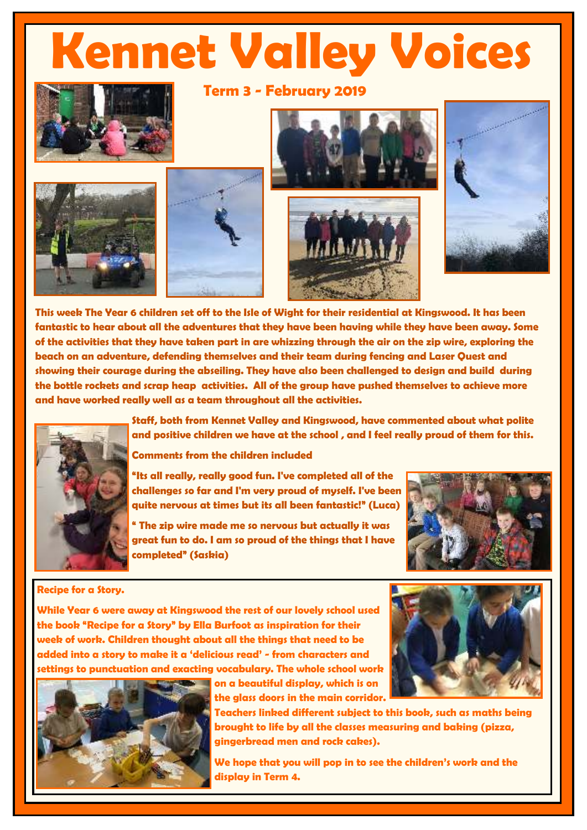## **Kennet Valley Voices**

**Term 3 - February 2019** 











**This week The Year 6 children set off to the Isle of Wight for their residential at Kingswood. It has been fantastic to hear about all the adventures that they have been having while they have been away. Some of the activities that they have taken part in are whizzing through the air on the zip wire, exploring the beach on an adventure, defending themselves and their team during fencing and Laser Quest and showing their courage during the abseiling. They have also been challenged to design and build during the bottle rockets and scrap heap activities. All of the group have pushed themselves to achieve more and have worked really well as a team throughout all the activities.** 



**Staff, both from Kennet Valley and Kingswood, have commented about what polite and positive children we have at the school , and I feel really proud of them for this.** 

**Comments from the children included** 

**"Its all really, really good fun. I've completed all of the challenges so far and I'm very proud of myself. I've been quite nervous at times but its all been fantastic!" (Luca)**

**" The zip wire made me so nervous but actually it was great fun to do. I am so proud of the things that I have completed" (Saskia)** 



## **Recipe for a Story.**

**While Year 6 were away at Kingswood the rest of our lovely school used the book "Recipe for a Story" by Ella Burfoot as inspiration for their week of work. Children thought about all the things that need to be added into a story to make it a 'delicious read' - from characters and settings to punctuation and exacting vocabulary. The whole school work** 



**on a beautiful display, which is on the glass doors in the main corridor.** 

**Teachers linked different subject to this book, such as maths being brought to life by all the classes measuring and baking (pizza, gingerbread men and rock cakes).** 

**We hope that you will pop in to see the children's work and the display in Term 4.**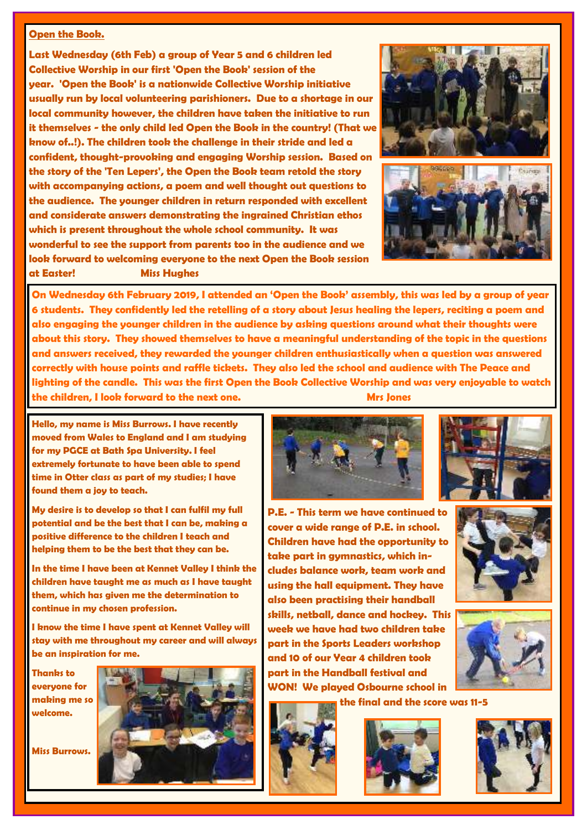## **Open the Book.**

**Last Wednesday (6th Feb) a group of Year 5 and 6 children led Collective Worship in our first 'Open the Book' session of the year. 'Open the Book' is a nationwide Collective Worship initiative usually run by local volunteering parishioners. Due to a shortage in our local community however, the children have taken the initiative to run it themselves - the only child led Open the Book in the country! (That we know of..!). The children took the challenge in their stride and led a confident, thought-provoking and engaging Worship session. Based on the story of the 'Ten Lepers', the Open the Book team retold the story with accompanying actions, a poem and well thought out questions to the audience. The younger children in return responded with excellent and considerate answers demonstrating the ingrained Christian ethos which is present throughout the whole school community. It was wonderful to see the support from parents too in the audience and we look forward to welcoming everyone to the next Open the Book session at Easter! Miss Hughes** 





**On Wednesday 6th February 2019, I attended an 'Open the Book' assembly, this was led by a group of year 6 students. They confidently led the retelling of a story about Jesus healing the lepers, reciting a poem and also engaging the younger children in the audience by asking questions around what their thoughts were about this story. They showed themselves to have a meaningful understanding of the topic in the questions and answers received, they rewarded the younger children enthusiastically when a question was answered correctly with house points and raffle tickets. They also led the school and audience with The Peace and lighting of the candle. This was the first Open the Book Collective Worship and was very enjoyable to watch the children, I look forward to the next one.** Mrs Jones **Mrs** Jones

**Hello, my name is Miss Burrows. I have recently moved from Wales to England and I am studying for my PGCE at Bath Spa University. I feel extremely fortunate to have been able to spend time in Otter class as part of my studies; I have found them a joy to teach.** 

**My desire is to develop so that I can fulfil my full potential and be the best that I can be, making a positive difference to the children I teach and helping them to be the best that they can be.** 

**In the time I have been at Kennet Valley I think the children have taught me as much as I have taught them, which has given me the determination to continue in my chosen profession.** 

**I know the time I have spent at Kennet Valley will stay with me throughout my career and will always be an inspiration for me.** 

**Thanks to everyone for making me so welcome.** 

**Miss Burrows.** 





**P.E. - This term we have continued to cover a wide range of P.E. in school. Children have had the opportunity to take part in gymnastics, which includes balance work, team work and using the hall equipment. They have also been practising their handball skills, netball, dance and hockey. This week we have had two children take part in the Sports Leaders workshop and 10 of our Year 4 children took part in the Handball festival and WON! We played Osbourne school in** 







**the final and the score was 11-5** 





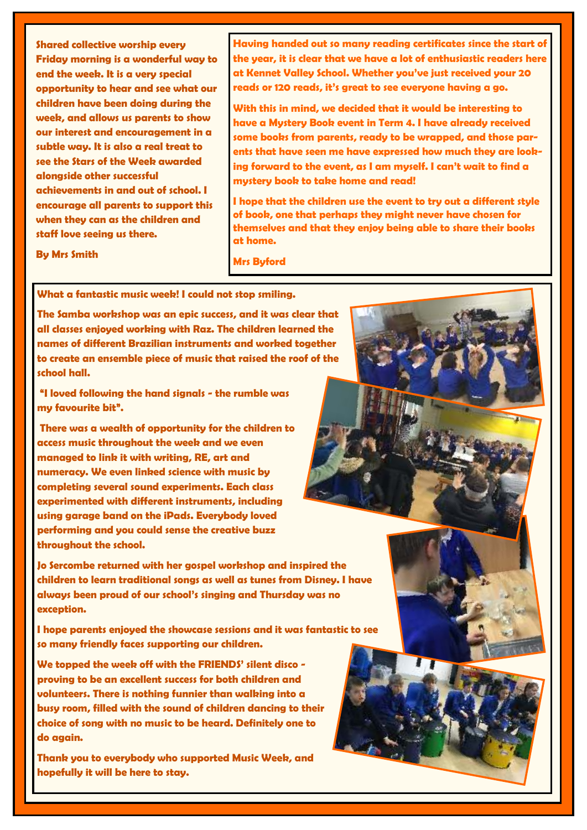**Shared collective worship every Friday morning is a wonderful way to end the week. It is a very special opportunity to hear and see what our children have been doing during the week, and allows us parents to show our interest and encouragement in a subtle way. It is also a real treat to see the Stars of the Week awarded alongside other successful achievements in and out of school. I encourage all parents to support this when they can as the children and staff love seeing us there.** 

**Having handed out so many reading certificates since the start of the year, it is clear that we have a lot of enthusiastic readers here at Kennet Valley School. Whether you've just received your 20 reads or 120 reads, it's great to see everyone having a go.**

**With this in mind, we decided that it would be interesting to have a Mystery Book event in Term 4. I have already received some books from parents, ready to be wrapped, and those parents that have seen me have expressed how much they are looking forward to the event, as I am myself. I can't wait to find a mystery book to take home and read!** 

**I hope that the children use the event to try out a different style of book, one that perhaps they might never have chosen for themselves and that they enjoy being able to share their books at home.** 

**By Mrs Smith** 

**Mrs Byford** 

**What a fantastic music week! I could not stop smiling.** 

**The Samba workshop was an epic success, and it was clear that all classes enjoyed working with Raz. The children learned the names of different Brazilian instruments and worked together to create an ensemble piece of music that raised the roof of the school hall.** 

**"I loved following the hand signals - the rumble was my favourite bit".**

 **There was a wealth of opportunity for the children to access music throughout the week and we even managed to link it with writing, RE, art and numeracy. We even linked science with music by completing several sound experiments. Each class experimented with different instruments, including using garage band on the iPads. Everybody loved performing and you could sense the creative buzz throughout the school.** 

**Jo Sercombe returned with her gospel workshop and inspired the children to learn traditional songs as well as tunes from Disney. I have always been proud of our school's singing and Thursday was no exception.** 

**I hope parents enjoyed the showcase sessions and it was fantastic to see so many friendly faces supporting our children.** 

**We topped the week off with the FRIENDS' silent disco proving to be an excellent success for both children and volunteers. There is nothing funnier than walking into a busy room, filled with the sound of children dancing to their choice of song with no music to be heard. Definitely one to do again.** 

**Thank you to everybody who supported Music Week, and hopefully it will be here to stay.**